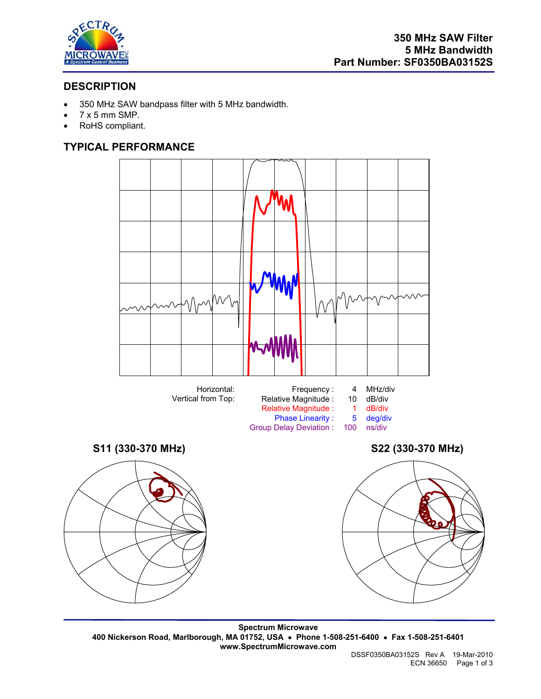

# **DESCRIPTION**

- 350 MHz SAW bandpass filter with 5 MHz bandwidth.
- $\bullet$  7 x 5 mm SMP.
- RoHS compliant.

# **TYPICAL PERFORMANCE**



Group Delay Deviation :







**Spectrum Microwave 400 Nickerson Road, Marlborough, MA 01752, USA** • **Phone 1-508-251-6400** • **Fax 1-508-251-6401 www.SpectrumMicrowave.com**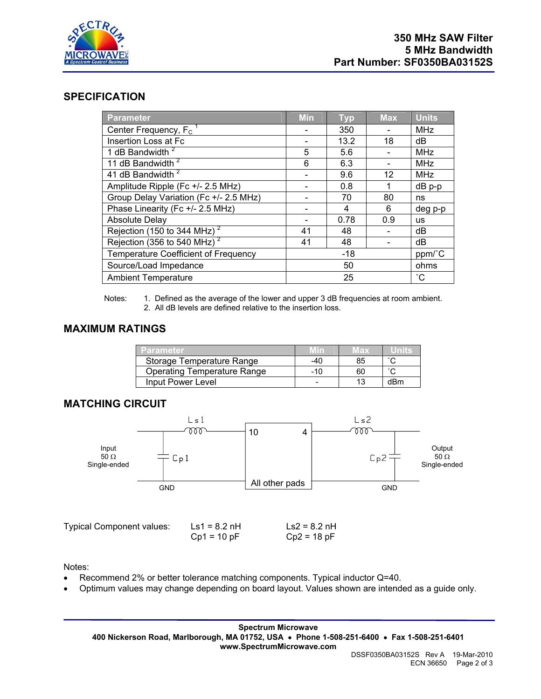

## **SPECIFICATION**

| Parameter                               | <b>Min</b> | <b>Typ</b> | <b>Max</b> | <b>Units</b>      |
|-----------------------------------------|------------|------------|------------|-------------------|
| Center Frequency, F <sub>c</sub>        |            | 350        |            | <b>MHz</b>        |
| Insertion Loss at Fc                    |            | 13.2       | 18         | dB                |
| 1 dB Bandwidth <sup>2</sup>             | 5          | 5.6        |            | <b>MHz</b>        |
| 11 dB Bandwidth <sup>2</sup>            | 6          | 6.3        |            | <b>MHz</b>        |
| 41 dB Bandwidth <sup>2</sup>            |            | 9.6        | 12         | <b>MHz</b>        |
| Amplitude Ripple (Fc +/- 2.5 MHz)       |            | 0.8        |            | $dB$ p-p          |
| Group Delay Variation (Fc +/- 2.5 MHz)  |            | 70         | 80         | ns                |
| Phase Linearity (Fc +/- 2.5 MHz)        |            | 4          | 6          | deg p-p           |
| <b>Absolute Delay</b>                   |            | 0.78       | 0.9        | <b>us</b>         |
| Rejection (150 to 344 MHz) <sup>2</sup> | 41         | 48         |            | dB                |
| Rejection (356 to 540 MHz) <sup>2</sup> | 41         | 48         |            | dB                |
| Temperature Coefficient of Frequency    | $-18$      |            | ppm/°C     |                   |
| Source/Load Impedance                   | 50         |            |            | ohms              |
| <b>Ambient Temperature</b>              | 25         |            |            | $^{\circ}{\rm C}$ |

Notes: 1. Defined as the average of the lower and upper 3 dB frequencies at room ambient. 2. All dB levels are defined relative to the insertion loss.

## **MAXIMUM RATINGS**

| Parameter                          |     | лах |                     |
|------------------------------------|-----|-----|---------------------|
| Storage Temperature Range          | -40 | 85  |                     |
| <b>Operating Temperature Range</b> | -10 | 60  | $\hat{\phantom{a}}$ |
| Input Power Level                  |     |     | dRm                 |

## **MATCHING CIRCUIT**



Typical Component values: Ls1 = 8.2 nH Ls2 = 8.2 nH

 $Cp1 = 10 pF$   $Cp2 = 18 pF$ 

Notes:

- Recommend 2% or better tolerance matching components. Typical inductor Q=40.
- Optimum values may change depending on board layout. Values shown are intended as a guide only.

**Spectrum Microwave 400 Nickerson Road, Marlborough, MA 01752, USA** • **Phone 1-508-251-6400** • **Fax 1-508-251-6401 www.SpectrumMicrowave.com**